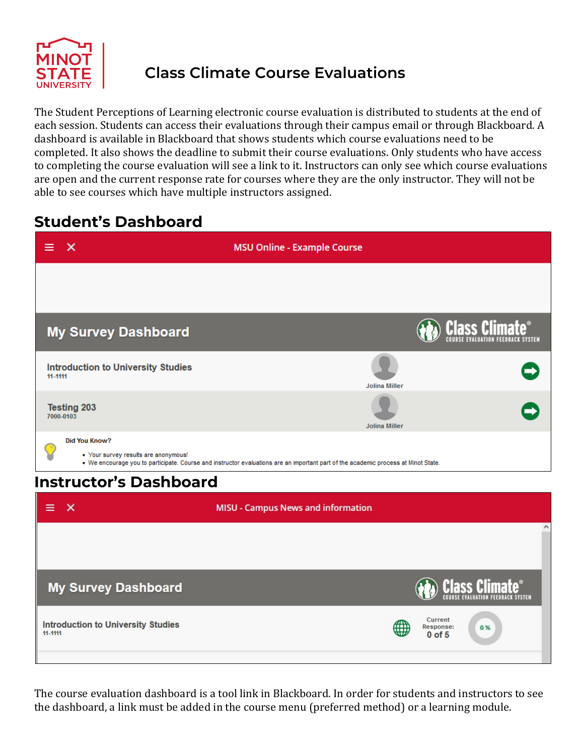

## **Class Climate Course Evaluations**

The Student Perceptions of Learning electronic course evaluation is distributed to students at the end of each session. Students can access their evaluations through their campus email or through Blackboard. A dashboard is available in Blackboard that shows students which course evaluations need to be completed. It also shows the deadline to submit their course evaluations. Only students who have access to completing the course evaluation will see a link to it. Instructors can only see which course evaluations are open and the current response rate for courses where they are the only instructor. They will not be able to see courses which have multiple instructors assigned.

### **Student's Dashboard**

| $\times$<br>≡                                                | <b>MSU Online - Example Course</b>                                                                                                 |                                                 |  |  |
|--------------------------------------------------------------|------------------------------------------------------------------------------------------------------------------------------------|-------------------------------------------------|--|--|
|                                                              |                                                                                                                                    |                                                 |  |  |
| <b>My Survey Dashboard</b>                                   |                                                                                                                                    | <b>Class Climate</b>                            |  |  |
| <b>Introduction to University Studies</b><br>11-1111         | <b>Jolina Miller</b>                                                                                                               |                                                 |  |  |
| <b>Testing 203</b><br>7000-0103                              | <b>Jolina Miller</b>                                                                                                               |                                                 |  |  |
| <b>Did You Know?</b><br>• Your survey results are anonymous! | . We encourage you to participate. Course and instructor evaluations are an important part of the academic process at Minot State. |                                                 |  |  |
| <b>Instructor's Dashboard</b>                                |                                                                                                                                    |                                                 |  |  |
| $\times$<br>≡                                                | <b>MISU - Campus News and information</b>                                                                                          |                                                 |  |  |
|                                                              |                                                                                                                                    | $\wedge$                                        |  |  |
| <b>My Survey Dashboard</b>                                   |                                                                                                                                    | <b>Class Climate®</b>                           |  |  |
| <b>Introduction to University Studies</b><br>11-1111         |                                                                                                                                    | <b>Current</b><br>Response:<br>0%<br>$0$ of $5$ |  |  |
|                                                              |                                                                                                                                    |                                                 |  |  |

The course evaluation dashboard is a tool link in Blackboard. In order for students and instructors to see the dashboard, a link must be added in the course menu (preferred method) or a learning module.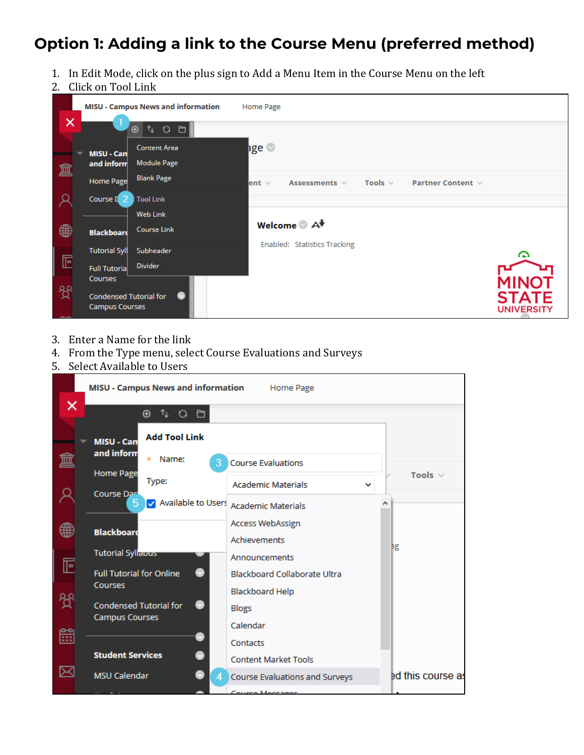## **Option 1: Adding a link to the Course Menu (preferred method)**

- 1. In Edit Mode, click on the plus sign to Add a Menu Item in the Course Menu on the left
- 2. Click on Tool Link



- 3. Enter a Name for the link
- 4. From the Type menu, select Course Evaluations and Surveys
- 5. Select Available to Users

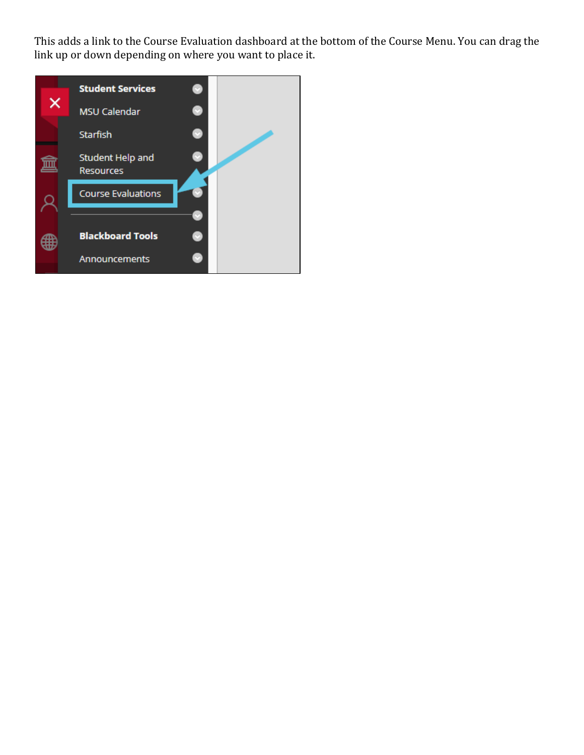This adds a link to the Course Evaluation dashboard at the bottom of the Course Menu. You can drag the link up or down depending on where you want to place it.

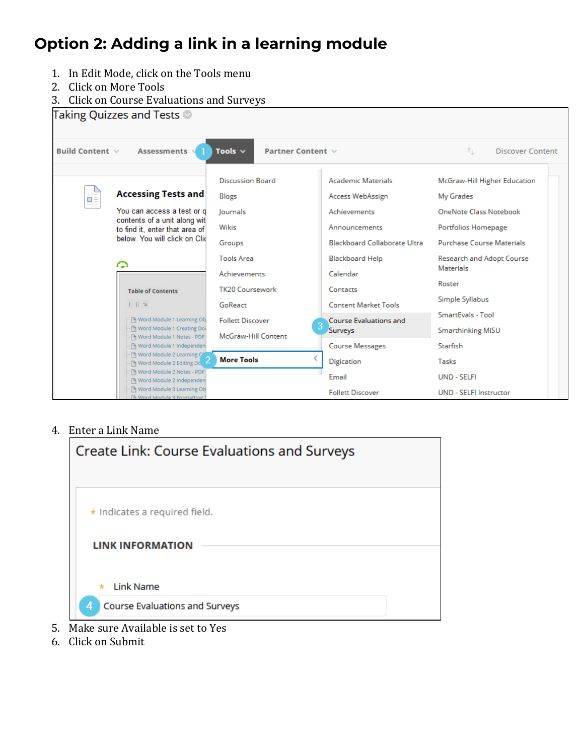# **Option 2: Adding a link in a learning module**

- 1. In Edit Mode, click on the Tools menu
- 2. Click on More Tools
- 3. Click on Course Evaluations and Surveys

| Taking Quizzes and Tests <sup>@</sup>                                                |                                                                     |                                    |                                                              |                                                         |  |
|--------------------------------------------------------------------------------------|---------------------------------------------------------------------|------------------------------------|--------------------------------------------------------------|---------------------------------------------------------|--|
| Assessments<br>Tools $\vee$<br><b>Build Content</b> $\vee$<br>Partner Content $\vee$ |                                                                     | ŤJ.<br><b>Discover Content</b>     |                                                              |                                                         |  |
|                                                                                      | <b>Accessing Tests and</b>                                          | <b>Discussion Board</b>            | <b>Academic Materials</b>                                    | McGraw-Hill Higher Education                            |  |
| œ                                                                                    | You can access a test or d<br>contents of a unit along wit          | Blogs<br>Journals                  | Access WebAssign<br><b>Achievements</b>                      | My Grades<br>OneNote Class Notebook                     |  |
|                                                                                      | to find it, enter that area of<br>below. You will click on Clid     | Wikis<br>Groups                    | Announcements<br><b>Blackboard Collaborate Ultra</b>         | Portfolios Homepage<br><b>Purchase Course Materials</b> |  |
|                                                                                      | ↷                                                                   | <b>Tools Area</b><br>Achievements  | <b>Blackboard Help</b><br>Calendar                           | Research and Adopt Course<br><b>Materials</b>           |  |
|                                                                                      | <b>Table of Contents</b>                                            | <b>TK20 Coursework</b>             | Contacts                                                     | Roster<br>Simple Syllabus                               |  |
|                                                                                      | $\mathbb{I}$ $\mathbb{I}$ $\mathbb{N}$<br>Mord Module 1 Learning Ob | GoReact<br><b>Follett Discover</b> | <b>Content Market Tools</b><br><b>Course Evaluations and</b> | SmartEvals - Tool                                       |  |
|                                                                                      | Word Module 1 Creating Do<br>Mord Module 1 Notes - PDF              | <b>McGraw-Hill Content</b>         | Surveys                                                      | <b>Smarthinking MiSU</b>                                |  |
|                                                                                      | M Word Module 1 Independen<br>Word Module 2 Learning Of             |                                    | <b>Course Messages</b>                                       | Starfish                                                |  |
|                                                                                      | My Word Module 2 Editing Do                                         | <b>More Tools</b>                  | Digication                                                   | Tasks                                                   |  |
|                                                                                      | M Word Module 2 Notes - PDF<br>Word Module 2 Independen             |                                    | Email                                                        | <b>UND - SELFI</b>                                      |  |
|                                                                                      | M Word Module 3 Learning Ob<br>Fh Word Module 3 Formatting          |                                    | <b>Follett Discover</b>                                      | <b>UND - SELFI Instructor</b>                           |  |

#### 4. Enter a Link Name

| <b>Create Link: Course Evaluations and Surveys</b>                                                                                                                                                                                                                                                                                                                                                          |  |
|-------------------------------------------------------------------------------------------------------------------------------------------------------------------------------------------------------------------------------------------------------------------------------------------------------------------------------------------------------------------------------------------------------------|--|
| * Indicates a required field.                                                                                                                                                                                                                                                                                                                                                                               |  |
| <b>LINK INFORMATION</b><br><b>Link Name</b><br>$\star$                                                                                                                                                                                                                                                                                                                                                      |  |
| Course Evaluations and Surveys<br>4<br>$\mathbf{r}$ 1<br>$\mathbf{1}$ $\mathbf{1}$ $\mathbf{1}$ $\mathbf{1}$ $\mathbf{1}$ $\mathbf{1}$ $\mathbf{1}$ $\mathbf{1}$ $\mathbf{1}$ $\mathbf{1}$ $\mathbf{1}$ $\mathbf{1}$ $\mathbf{1}$ $\mathbf{1}$ $\mathbf{1}$ $\mathbf{1}$ $\mathbf{1}$ $\mathbf{1}$ $\mathbf{1}$ $\mathbf{1}$ $\mathbf{1}$ $\mathbf{1}$ $\mathbf{1}$ $\mathbf{1}$ $\mathbf{$<br>$\mathbf{A}$ |  |

- 5. Make sure Available is set to Yes
- 6. Click on Submit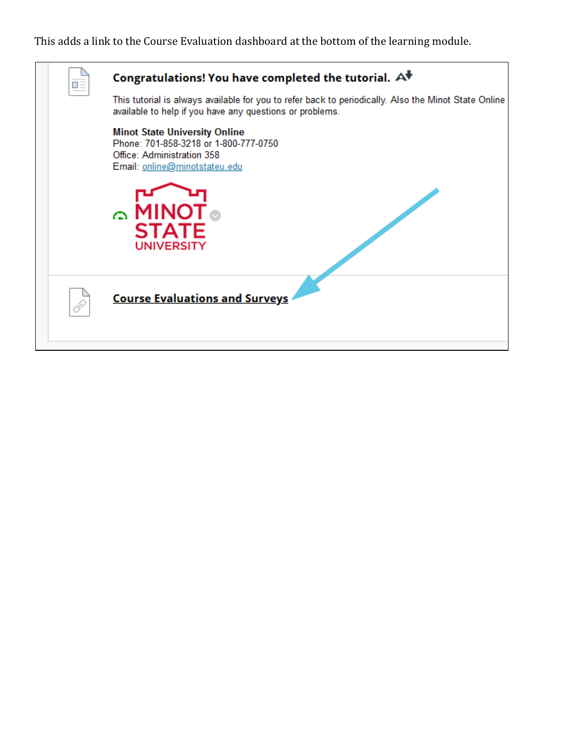### This adds a link to the Course Evaluation dashboard at the bottom of the learning module.